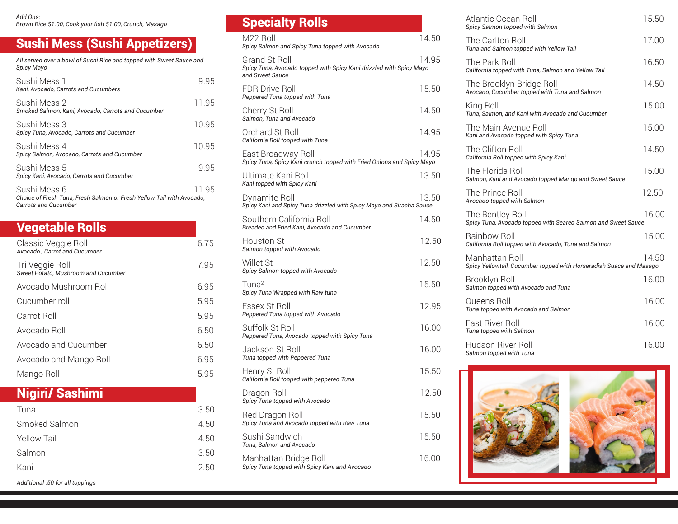*Add Ons: Brown Rice \$1.00, Cook your fish \$1.00, Crunch, Masago* 

## Sushi Mess (Sushi Appetizers)

*All served over a bowl of Sushi Rice and topped with Sweet Sauce and Spicy Mayo* Sushi Mess 1 9.95 *Kani, Avocado, Carrots and Cucumbers* 

| Kani. Avočado. Gali ots and Gucullibers                                                                       |       |
|---------------------------------------------------------------------------------------------------------------|-------|
| Sushi Mess 2<br>Smoked Salmon, Kani, Avocado, Carrots and Cucumber                                            | 11.95 |
| Sushi Mess 3<br>Spicy Tuna, Avocado, Carrots and Cucumber                                                     | 10.95 |
| Sushi Mess 4<br>Spicy Salmon, Avocado, Carrots and Cucumber                                                   | 10.95 |
| Sushi Mess 5<br>Spicy Kani, Avocado, Carrots and Cucumber                                                     | 995   |
| Sushi Mess 6<br>Choice of Fresh Tuna. Fresh Salmon or Fresh Yellow Tail with Avocado.<br>Carrots and Cucumber | 11.95 |

| <b>Vegetable Rolls</b>                                 |      |
|--------------------------------------------------------|------|
| Classic Veggie Roll<br>Avocado, Carrot and Cucumber    | 6.75 |
| Tri Veggie Roll<br>Sweet Potato, Mushroom and Cucumber | 7.95 |
| Avocado Mushroom Roll                                  | 6.95 |
| Cucumber roll                                          | 5.95 |
| Carrot Roll                                            | 5.95 |
| Avocado Roll                                           | 6.50 |
| Avocado and Cucumber                                   | 6.50 |
| Avocado and Mango Roll                                 | 6.95 |
| Mango Roll                                             | 5.95 |

| <b>Nigiri/ Sashimi</b> |  |
|------------------------|--|
|                        |  |

| Tuna                            | 3.50 |
|---------------------------------|------|
| Smoked Salmon                   | 4.50 |
| Yellow Tail                     | 4.50 |
| Salmon                          | 3.50 |
| Kani                            | 2.50 |
| Additional .50 for all toppings |      |

| <b>Opecially NUIIS</b>                                                                                  |       |
|---------------------------------------------------------------------------------------------------------|-------|
| M22 Roll<br>Spicy Salmon and Spicy Tuna topped with Avocado                                             | 14.50 |
| Grand St Roll<br>Spicy Tuna, Avocado topped with Spicy Kani drizzled with Spicy Mayo<br>and Sweet Sauce | 14.95 |
| <b>FDR Drive Roll</b><br>Peppered Tuna topped with Tuna                                                 | 15.50 |
| Cherry St Roll<br>Salmon, Tuna and Avocado                                                              | 14.50 |
| Orchard St Roll<br>California Roll topped with Tuna                                                     | 14.95 |
| East Broadway Roll<br>Spicy Tuna, Spicy Kani crunch topped with Fried Onions and Spicy Mayo             | 14.95 |
| Ultimate Kani Roll<br>Kani topped with Spicy Kani                                                       | 13.50 |
| Dynamite Roll<br>Spicy Kani and Spicy Tuna drizzled with Spicy Mayo and Siracha Sauce                   | 13.50 |
| Southern California Roll<br>Breaded and Fried Kani, Avocado and Cucumber                                | 14.50 |
| <b>Houston St</b><br>Salmon topped with Avocado                                                         | 12.50 |
| Willet St<br>Spicy Salmon topped with Avocado                                                           | 12.50 |
| $T$ una <sup>2</sup><br>Spicy Tuna Wrapped with Raw tuna                                                | 15.50 |
| Essex St Roll<br>Peppered Tuna topped with Avocado                                                      | 12.95 |
| Suffolk St Roll<br>Peppered Tuna, Avocado topped with Spicy Tuna                                        | 16.00 |
| Jackson St Roll<br>Tuna topped with Peppered Tuna                                                       | 16.00 |
| Henry St Roll<br>California Roll topped with peppered Tuna                                              | 15.50 |
| Dragon Roll<br>Spicy Tuna topped with Avocado                                                           | 12.50 |
| Red Dragon Roll<br>Spicy Tuna and Avocado topped with Raw Tuna                                          | 15.50 |
| Sushi Sandwich<br>Tuna, Salmon and Avocado                                                              | 15.50 |
| Manhattan Bridge Roll<br>Spicy Tuna topped with Spicy Kani and Avocado                                  | 16.00 |
|                                                                                                         |       |

Specialty Rolls

| Atlantic Ocean Roll<br>Spicy Salmon topped with Salmon                                | 15.50 |
|---------------------------------------------------------------------------------------|-------|
| The Carlton Roll<br>Tuna and Salmon topped with Yellow Tail                           | 17.00 |
| The Park Roll<br>California topped with Tuna, Salmon and Yellow Tail                  | 16.50 |
| The Brooklyn Bridge Roll<br>Avocado, Cucumber topped with Tuna and Salmon             | 14.50 |
| King Roll<br>Tuna, Salmon, and Kani with Avocado and Cucumber                         | 15.00 |
| The Main Avenue Roll<br>Kani and Avocado topped with Spicy Tuna                       | 15.00 |
| The Clifton Roll<br>California Roll topped with Spicy Kani                            | 14.50 |
| The Florida Roll<br>Salmon, Kani and Avocado topped Mango and Sweet Sauce             | 15.00 |
| The Prince Roll<br>Avocado topped with Salmon                                         | 12.50 |
| The Bentley Roll<br>Spicy Tuna, Avocado topped with Seared Salmon and Sweet Sauce     | 16.00 |
| Rainbow Roll<br>California Roll topped with Avocado, Tuna and Salmon                  | 15.00 |
| Manhattan Roll<br>Spicy Yellowtail, Cucumber topped with Horseradish Suace and Masago | 14.50 |
| Brooklyn Roll<br>Salmon topped with Avocado and Tuna                                  | 16.00 |
| Queens Roll<br>Tuna topped with Avocado and Salmon                                    | 16.00 |
| <b>Fast River Roll</b><br>Tuna topped with Salmon                                     | 16.00 |
| Hudson River Roll<br>Salmon topped with Tuna                                          | 16.00 |
|                                                                                       |       |